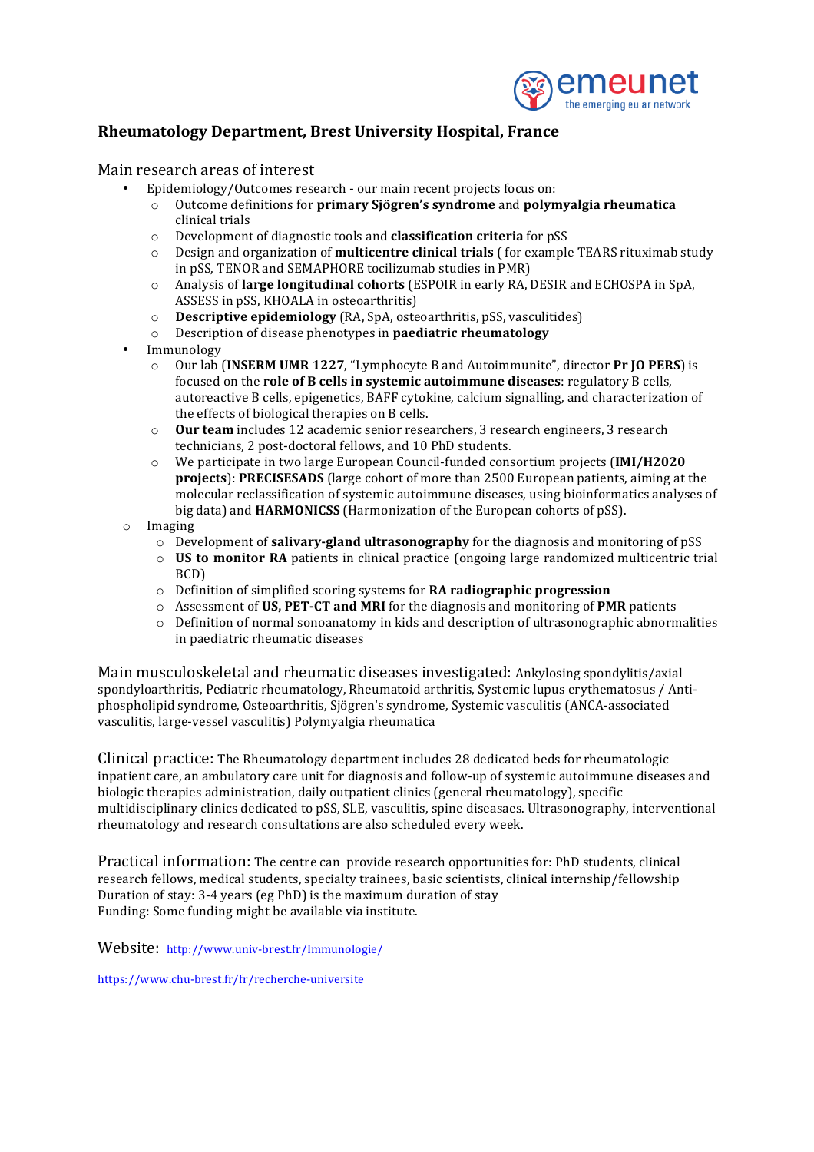

## **Rheumatology Department, Brest University Hospital, France**

## Main research areas of interest

- Epidemiology/Outcomes research our main recent projects focus on:
	- o Outcome definitions for **primary Sjögren's syndrome** and **polymyalgia rheumatica** clinical trials
	- o Development of diagnostic tools and **classification criteria** for pSS
	- o Design and organization of **multicentre clinical trials** ( for example TEARS rituximab study in pSS, TENOR and SEMAPHORE tocilizumab studies in PMR)
	- o Analysis of **large longitudinal cohorts** (ESPOIR in early RA, DESIR and ECHOSPA in SpA, ASSESS in pSS, KHOALA in osteoarthritis)
	- o **Descriptive epidemiology** (RA, SpA, osteoarthritis, pSS, vasculitides)
	- o Description of disease phenotypes in **paediatric rheumatology**
- Immunology
	- Our lab (INSERM UMR 1227, "Lymphocyte B and Autoimmunite", director Pr IO PERS) is focused on the **role of B cells in systemic autoimmune diseases**: regulatory B cells, autoreactive B cells, epigenetics, BAFF cytokine, calcium signalling, and characterization of the effects of biological therapies on B cells.
	- o **Our team** includes 12 academic senior researchers, 3 research engineers, 3 research technicians, 2 post-doctoral fellows, and 10 PhD students.
	- o We participate in two large European Council-funded consortium projects (IMI/H2020 **projects**): **PRECISESADS** (large cohort of more than 2500 European patients, aiming at the molecular reclassification of systemic autoimmune diseases, using bioinformatics analyses of big data) and **HARMONICSS** (Harmonization of the European cohorts of pSS).
- o Imaging
	- $\circ$  Development of **salivary-gland ultrasonography** for the diagnosis and monitoring of pSS
	- $\circ$  **US** to monitor RA patients in clinical practice (ongoing large randomized multicentric trial BCD)
	- o Definition of simplified scoring systems for **RA radiographic progression**
	- o Assessment of US, PET-CT and MRI for the diagnosis and monitoring of PMR patients
	- $\circ$  Definition of normal sonoanatomy in kids and description of ultrasonographic abnormalities in paediatric rheumatic diseases

Main musculoskeletal and rheumatic diseases investigated: Ankylosing spondylitis/axial spondyloarthritis, Pediatric rheumatology, Rheumatoid arthritis, Systemic lupus erythematosus / Antiphospholipid syndrome, Osteoarthritis, Sjögren's syndrome, Systemic vasculitis (ANCA-associated vasculitis, large-vessel vasculitis) Polymyalgia rheumatica

Clinical practice: The Rheumatology department includes 28 dedicated beds for rheumatologic inpatient care, an ambulatory care unit for diagnosis and follow-up of systemic autoimmune diseases and biologic therapies administration, daily outpatient clinics (general rheumatology), specific multidisciplinary clinics dedicated to pSS, SLE, vasculitis, spine diseasaes. Ultrasonography, interventional rheumatology and research consultations are also scheduled every week.

Practical information: The centre can provide research opportunities for: PhD students, clinical research fellows, medical students, specialty trainees, basic scientists, clinical internship/fellowship Duration of stay: 3-4 years (eg PhD) is the maximum duration of stay Funding: Some funding might be available via institute.

Website: http://www.univ-brest.fr/Immunologie/

https://www.chu-brest.fr/fr/recherche-universite